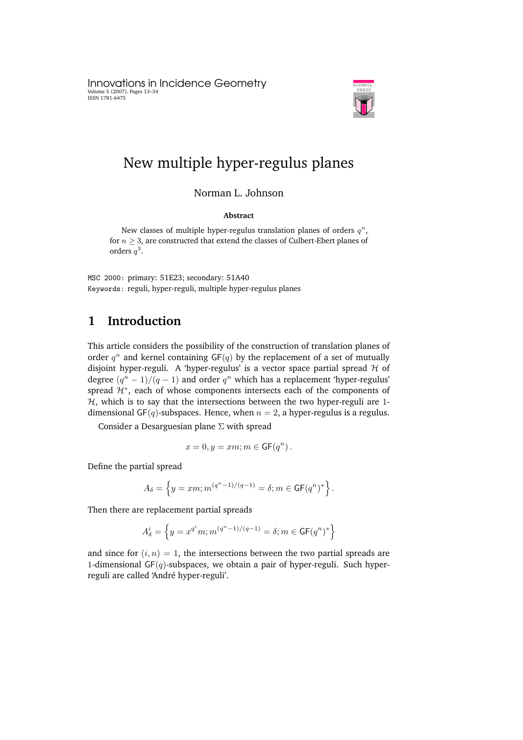Innovations in Incidence Geometry Volume 5 (2007), Pages 13–34 ISSN 1781-6475



# New multiple hyper-regulus planes

Norman L. Johnson

#### **Abstract**

New classes of multiple hyper-regulus translation planes of orders  $q^n$ , for  $n \geq 3$ , are constructed that extend the classes of Culbert-Ebert planes of orders  $q^3$ .

MSC 2000: primary: 51E23; secondary: 51A40 Keywords: reguli, hyper-reguli, multiple hyper-regulus planes

### **1 Introduction**

This article considers the possibility of the construction of translation planes of order  $q^n$  and kernel containing GF( $q$ ) by the replacement of a set of mutually disjoint hyper-reguli. A 'hyper-regulus' is a vector space partial spread  $H$  of degree  $(q^n - 1)/(q - 1)$  and order  $q^n$  which has a replacement 'hyper-regulus' spread  $\mathcal{H}^*$ , each of whose components intersects each of the components of  $H$ , which is to say that the intersections between the two hyper-reguli are 1dimensional GF(q)-subspaces. Hence, when  $n = 2$ , a hyper-regulus is a regulus.

Consider a Desarguesian plane  $\Sigma$  with spread

$$
x=0, y = xm; m \in {\mathsf{GF}}(q^n).
$$

Define the partial spread

$$
A_{\delta} = \left\{ y = xm; m^{(q^n - 1)/(q - 1)} = \delta; m \in {\mathsf{GF}}(q^n)^* \right\}.
$$

Then there are replacement partial spreads

$$
A_{\delta}^{i} = \left\{ y = x^{q^{i}} m; m^{(q^{n}-1)/(q-1)} = \delta; m \in \mathsf{GF}(q^{n})^{*} \right\}
$$

and since for  $(i, n) = 1$ , the intersections between the two partial spreads are 1-dimensional  $GF(q)$ -subspaces, we obtain a pair of hyper-reguli. Such hyperreguli are called 'André hyper-reguli'.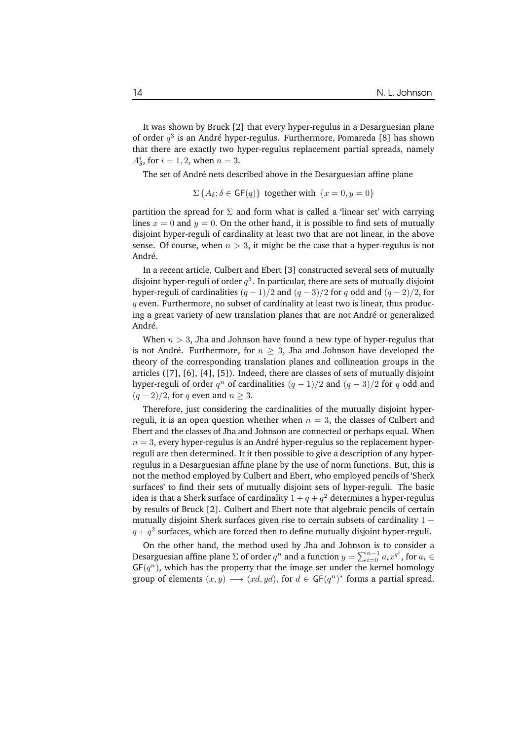It was shown by Bruck [2] that every hyper-regulus in a Desarguesian plane of order  $q^3$  is an André hyper-regulus. Furthermore, Pomareda [8] has shown that there are exactly two hyper-regulus replacement partial spreads, namely  $A^i_\delta$ , for  $i = 1, 2$ , when  $n = 3$ .

The set of André nets described above in the Desarguesian affine plane

$$
\Sigma\left\{A_\delta;\delta\in\mathsf{GF}(q)\right\}\text{ together with }\{x=0,y=0\}
$$

partition the spread for  $\Sigma$  and form what is called a 'linear set' with carrying lines  $x = 0$  and  $y = 0$ . On the other hand, it is possible to find sets of mutually disjoint hyper-reguli of cardinality at least two that are not linear, in the above sense. Of course, when  $n > 3$ , it might be the case that a hyper-regulus is not André.

In a recent article, Culbert and Ebert [3] constructed several sets of mutually disjoint hyper-reguli of order  $q^3.$  In particular, there are sets of mutually disjoint hyper-reguli of cardinalities  $(q - 1)/2$  and  $(q - 3)/2$  for q odd and  $(q - 2)/2$ , for  $q$  even. Furthermore, no subset of cardinality at least two is linear, thus producing a great variety of new translation planes that are not André or generalized André.

When  $n > 3$ , Jha and Johnson have found a new type of hyper-regulus that is not André. Furthermore, for  $n \geq 3$ , Jha and Johnson have developed the theory of the corresponding translation planes and collineation groups in the articles ([7], [6], [4], [5]). Indeed, there are classes of sets of mutually disjoint hyper-reguli of order  $q^n$  of cardinalities  $(q-1)/2$  and  $(q-3)/2$  for  $q$  odd and  $(q-2)/2$ , for q even and  $n \geq 3$ .

Therefore, just considering the cardinalities of the mutually disjoint hyperreguli, it is an open question whether when  $n = 3$ , the classes of Culbert and Ebert and the classes of Jha and Johnson are connected or perhaps equal. When  $n = 3$ , every hyper-regulus is an André hyper-regulus so the replacement hyperreguli are then determined. It it then possible to give a description of any hyperregulus in a Desarguesian affine plane by the use of norm functions. But, this is not the method employed by Culbert and Ebert, who employed pencils of 'Sherk surfaces' to find their sets of mutually disjoint sets of hyper-reguli. The basic idea is that a Sherk surface of cardinality  $1+q+q^2$  determines a hyper-regulus by results of Bruck [2]. Culbert and Ebert note that algebraic pencils of certain mutually disjoint Sherk surfaces given rise to certain subsets of cardinality  $1 +$  $q + q^2$  surfaces, which are forced then to define mutually disjoint hyper-reguli.

On the other hand, the method used by Jha and Johnson is to consider a Desarguesian affine plane  $\Sigma$  of order  $q^n$  and a function  $y = \sum_{i=0}^{n-1} a_i x^{q^i}$ , for  $a_i \in$  $GF(q^n)$ , which has the property that the image set under the kernel homology group of elements  $(x, y) \longrightarrow (xd, yd)$ , for  $d \in GF(q^n)^*$  forms a partial spread.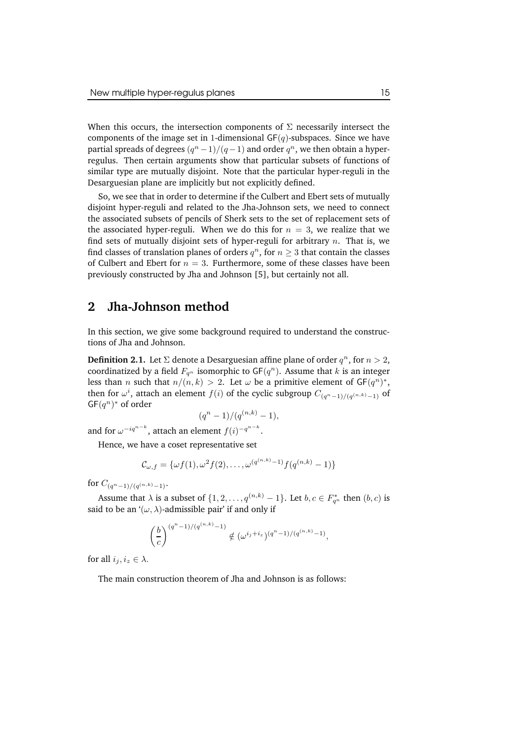When this occurs, the intersection components of  $\Sigma$  necessarily intersect the components of the image set in 1-dimensional  $GF(q)$ -subspaces. Since we have partial spreads of degrees  $(q^n-1)/(q-1)$  and order  $q^n$ , we then obtain a hyperregulus. Then certain arguments show that particular subsets of functions of similar type are mutually disjoint. Note that the particular hyper-reguli in the Desarguesian plane are implicitly but not explicitly defined.

So, we see that in order to determine if the Culbert and Ebert sets of mutually disjoint hyper-reguli and related to the Jha-Johnson sets, we need to connect the associated subsets of pencils of Sherk sets to the set of replacement sets of the associated hyper-reguli. When we do this for  $n = 3$ , we realize that we find sets of mutually disjoint sets of hyper-reguli for arbitrary  $n$ . That is, we find classes of translation planes of orders  $q^n$ , for  $n\geq 3$  that contain the classes of Culbert and Ebert for  $n = 3$ . Furthermore, some of these classes have been previously constructed by Jha and Johnson [5], but certainly not all.

### **2 Jha-Johnson method**

In this section, we give some background required to understand the constructions of Jha and Johnson.

**Definition 2.1.** Let  $\Sigma$  denote a Desarguesian affine plane of order  $q^n$ , for  $n > 2$ , coordinatized by a field  $F_{q^n}$  isomorphic to  $\mathsf{GF}(q^n).$  Assume that  $k$  is an integer less than *n* such that  $n/(n, k) > 2$ . Let  $\omega$  be a primitive element of  $GF(q^n)^*$ , then for  $\omega^i$ , attach an element  $f(i)$  of the cyclic subgroup  $C_{(q^n-1)/(q^{(n,k)}-1)}$  of  $GF(q^n)^*$  of order

$$
(q^{n}-1)/(q^{(n,k)}-1),
$$

and for  $\omega^{-iq^{n-k}}$ , attach an element  $f(i)^{-q^{n-k}}$ .

Hence, we have a coset representative set

$$
\mathcal{C}_{\omega,f} = \{\omega f(1), \omega^2 f(2), \ldots, \omega^{(q^{(n,k)}-1)} f(q^{(n,k)}-1)\}
$$

for  $C_{(q^n-1)/(q^{(n,k)}-1)}$ .

Assume that  $\lambda$  is a subset of  $\{1, 2, ..., q^{(n,k)} - 1\}$ . Let  $b, c \in F_{q^n}^*$  then  $(b, c)$  is said to be an  $'(\omega, \lambda)$ -admissible pair' if and only if

$$
\left(\frac{b}{c}\right)^{(q^n-1)/(q^{(n,k)}-1)} \notin (\omega^{i_j+i_z})^{(q^n-1)/(q^{(n,k)}-1)},
$$

for all  $i_j, i_z \in \lambda$ .

The main construction theorem of Jha and Johnson is as follows: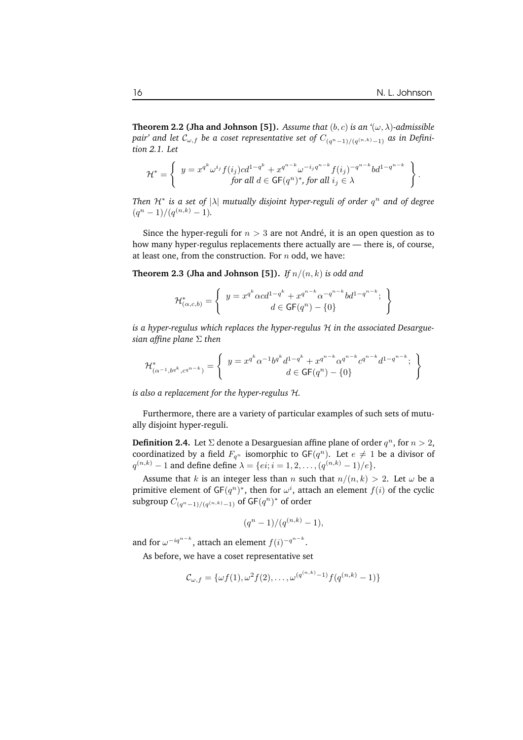**Theorem 2.2 (Jha and Johnson [5]).** *Assume that*  $(b, c)$  *is an*  $\langle \omega, \lambda \rangle$ -admissible  $p$ air' and let  $\mathcal{C}_{\omega,f}$  be a coset representative set of  $C_{(q^n-1)/(q^{(n,k)}-1)}$  as in Defini*tion 2.1. Let*

$$
\mathcal{H}^* = \left\{ \begin{array}{c} y = x^{q^k} \omega^{i_j} f(i_j) c d^{1-q^k} + x^{q^{n-k}} \omega^{-i_j q^{n-k}} f(i_j)^{-q^{n-k}} b d^{1-q^{n-k}} \\ \text{for all } d \in \mathsf{GF}(q^n)^*, \text{for all } i_j \in \lambda \end{array} \right\}.
$$

*Then* H<sup>∗</sup> *is a set of* |λ| *mutually disjoint hyper-reguli of order* q <sup>n</sup> *and of degree*  $(q^{n}-1)/(q^{(n,k)}-1).$ 

Since the hyper-reguli for  $n > 3$  are not André, it is an open question as to how many hyper-regulus replacements there actually are — there is, of course, at least one, from the construction. For  $n$  odd, we have:

**Theorem 2.3 (Jha and Johnson [5]).** *If*  $n/(n, k)$  *is odd and* 

$$
\mathcal{H}^*_{(\alpha,c,b)} = \left\{ \begin{array}{c} y = x^{q^k} \alpha c d^{1-q^k} + x^{q^{n-k}} \alpha^{-q^{n-k}} b d^{1-q^{n-k}}; \\ d \in \mathsf{GF}(q^n) - \{0\} \end{array} \right\}
$$

*is a hyper-regulus which replaces the hyper-regulus* H *in the associated Desarguesian affine plane* Σ *then*

$$
\mathcal{H}^*_{(\alpha^{-1},b^{q^k},c^{q^{n-k}})} = \left\{ \begin{array}{c} y = x^{q^k} \alpha^{-1} b^{q^k} d^{1-q^k} + x^{q^{n-k}} \alpha^{q^{n-k}} c^{q^{n-k}} d^{1-q^{n-k}}; \\ d \in \mathsf{GF}(q^n) - \{0\} \end{array} \right\}
$$

*is also a replacement for the hyper-regulus* H*.*

Furthermore, there are a variety of particular examples of such sets of mutually disjoint hyper-reguli.

**Definition 2.4.** Let  $\Sigma$  denote a Desarguesian affine plane of order  $q^n$ , for  $n > 2$ , coordinatized by a field  $F_{q^n}$  isomorphic to  $GF(q^n)$ . Let  $e \neq 1$  be a divisor of  $q^{(n,k)} - 1$  and define define  $\lambda = \{ei; i = 1, 2, \dots, (q^{(n,k)} - 1)/e\}.$ 

Assume that k is an integer less than n such that  $n/(n, k) > 2$ . Let  $\omega$  be a primitive element of GF $(q^n)^*$ , then for  $\omega^i$ , attach an element  $f(i)$  of the cyclic subgroup  $C_{(q^n-1)/(q^{(n,k)}-1)}$  of GF $(q^n)^*$  of order

$$
(q^{n}-1)/(q^{(n,k)}-1),
$$

and for  $\omega^{-iq^{n-k}}$ , attach an element  $f(i)^{-q^{n-k}}$ .

As before, we have a coset representative set

$$
\mathcal{C}_{\omega,f} = {\omega f(1), \omega^2 f(2), \ldots, \omega^{(q^{(n,k)}-1)} f(q^{(n,k)}-1)}
$$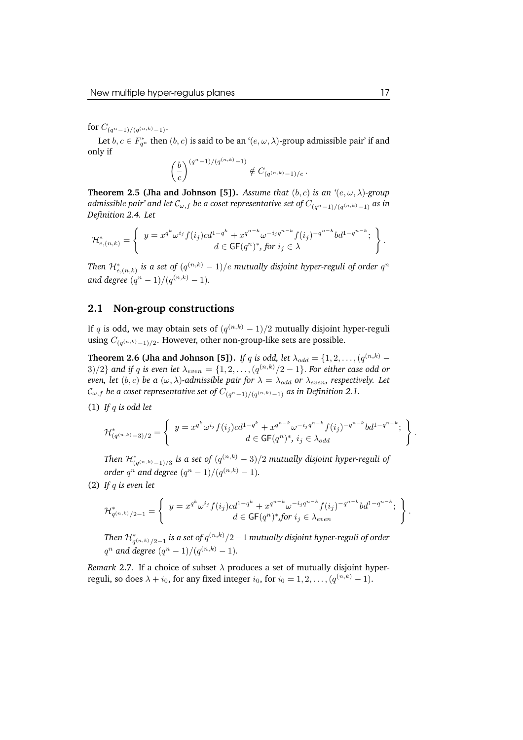for  $C_{(q^n-1)/(q^{(n,k)}-1)}$ .

Let  $b, c \in F_{q^n}^*$  then  $(b, c)$  is said to be an  $\lq (e, \omega, \lambda)$ -group admissible pair' if and only if

$$
\left(\frac{b}{c}\right)^{(q^n-1)/(q^{(n,k)}-1)} \notin C_{(q^{(n,k)}-1)/e}.
$$

**Theorem 2.5 (Jha and Johnson [5]).** *Assume that*  $(b, c)$  *is an*  $'(e, \omega, \lambda)$ *-group*  $a$ dmissible pair' and let  $\mathcal{C}_{\omega,f}$  be a coset representative set of  $C_{(q^n-1)/(q^{(n,k)}-1)}$  as in *Definition 2.4. Let*

$$
\mathcal{H}^*_{e,(n,k)} = \left\{ \begin{array}{c} y = x^{q^k} \omega^{i_j} f(i_j) c d^{1-q^k} + x^{q^{n-k}} \omega^{-i_j q^{n-k}} f(i_j)^{-q^{n-k}} b d^{1-q^{n-k}}; \\ d \in \mathsf{GF}(q^n)^*, \text{ for } i_j \in \lambda \end{array} \right\}.
$$

*Then*  $\mathcal{H}^*_{e,(n,k)}$  *is a set of*  $(q^{(n,k)}-1)/e$  *mutually disjoint hyper-reguli of order*  $q^n$ *and degree*  $(q^{n} - 1)/(q^{(n,k)} - 1)$ *.* 

#### **2.1 Non-group constructions**

If  $q$  is odd, we may obtain sets of  $(q^{(n,k)} - 1)/2$  mutually disjoint hyper-reguli using  $C_{(q^{(n,k)}-1)/2}$ . However, other non-group-like sets are possible.

**Theorem 2.6 (Jha and Johnson [5]).** *If* q *is odd, let*  $\lambda_{odd} = \{1, 2, ..., (q^{(n,k)} - q\})$  $3)/2$ } and if q is even let  $\lambda_{even} = \{1, 2, \ldots, (q^{(n,k)}/2 - 1\}$ . For either case odd or *even, let*  $(b, c)$  *be*  $a(\omega, \lambda)$ -admissible pair for  $\lambda = \lambda_{odd}$  or  $\lambda_{even}$ , respectively. Let  $\mathcal{C}_{\omega,f}$  be a coset representative set of  $C_{(q^n-1)/(q^{(n,k)}-1)}$  as in Definition 2.1.

(1) *If* q *is odd let*

$$
\mathcal{H}_{(q^{(n,k)}-3)/2}^* = \left\{ \begin{array}{c} y = x^{q^k} \omega^{i_j} f(i_j) c d^{1-q^k} + x^{q^{n-k}} \omega^{-i_j q^{n-k}} f(i_j)^{-q^{n-k}} b d^{1-q^{n-k}}; \\ d \in \mathsf{GF}(q^n)^*, \ i_j \in \lambda_{odd} \end{array} \right\}
$$

*Then*  $\mathcal{H}^{*}_{(q^{(n,k)}-1)/3}$  *is a set of*  $(q^{(n,k)}-3)/2$  *mutually disjoint hyper-reguli of order*  $q^n$  and *degree*  $(q^n - 1)/(q^{(n,k)} - 1)$ *.* 

(2) *If* q *is even let*

$$
\mathcal{H}^*_{q^{(n,k)}/2-1} = \left\{ \begin{array}{c} y = x^{q^k} \omega^{i_j} f(i_j) c d^{1-q^k} + x^{q^{n-k}} \omega^{-i_j q^{n-k}} f(i_j)^{-q^{n-k}} b d^{1-q^{n-k}}; \\ d \in \mathsf{GF}(q^n)^* \text{,} \text{for } i_j \in \lambda_{even} \end{array} \right\}
$$

*Then*  $\mathcal{H}^*_{q^{(n,k)}/2-1}$  *is a set of*  $q^{(n,k)}/2-1$  *mutually disjoint hyper-reguli of order*  $q^n$  and degree  $(q^n - 1)/(q^{(n,k)} - 1)$ .

*Remark* 2.7. If a choice of subset  $\lambda$  produces a set of mutually disjoint hyperreguli, so does  $\lambda + i_0$ , for any fixed integer  $i_0$ , for  $i_0 = 1, 2, \ldots, (q^{(n,k)} - 1)$ .

.

.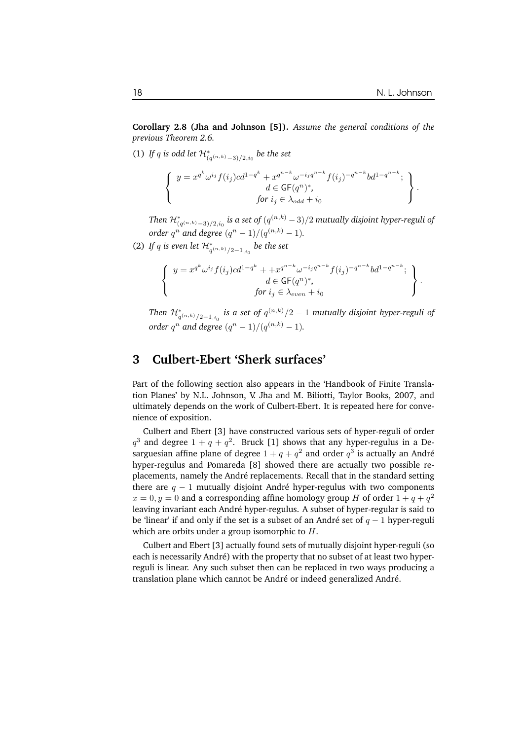**Corollary 2.8 (Jha and Johnson [5]).** *Assume the general conditions of the previous Theorem 2.6.*

(1) If q is odd let  $\mathcal{H}^*_{(q^{(n,k)}-3)/2,i_0}$  be the set

$$
\begin{cases}\ny = x^{q^k} \omega^{i_j} f(i_j) c d^{1-q^k} + x^{q^{n-k}} \omega^{-i_j q^{n-k}} f(i_j)^{-q^{n-k}} b d^{1-q^{n-k}}; \\
\downarrow d \in \mathsf{GF}(q^n)^*, \\
for i_j \in \lambda_{odd} + i_0\n\end{cases}.
$$

*Then*  $\mathcal{H}^*_{(q^{(n,k)}-3)/2,i_0}$  *is a set of*  $(q^{(n,k)}-3)/2$  *mutually disjoint hyper-reguli of order*  $q^n$  and *degree*  $(q^n - 1)/(q^{(n,k)} - 1)$ *.* 

(2) If q is even let  $\mathcal{H}^{*}_{q^{(n,k)}/2-1,i_0}$  be the set

$$
\begin{cases}\ny = x^{q^k} \omega^{i_j} f(i_j) c d^{1-q^k} + x^{q^{n-k}} \omega^{-i_j q^{n-k}} f(i_j)^{-q^{n-k}} b d^{1-q^{n-k}}; \\
d \in \mathsf{GF}(q^n)^*, \\
for i_j \in \lambda_{even} + i_0\n\end{cases}.
$$

*Then*  $\mathcal{H}^*_{q^{(n,k)}/2-1,i_0}$  *is a set of*  $q^{(n,k)}/2-1$  *mutually disjoint hyper-reguli of order*  $q^n$  and *degree*  $(q^n - 1)/(q^{(n,k)} - 1)$ *.* 

#### **3 Culbert-Ebert 'Sherk surfaces'**

Part of the following section also appears in the 'Handbook of Finite Translation Planes' by N.L. Johnson, V. Jha and M. Biliotti, Taylor Books, 2007, and ultimately depends on the work of Culbert-Ebert. It is repeated here for convenience of exposition.

Culbert and Ebert [3] have constructed various sets of hyper-reguli of order  $q^3$  and degree  $1 + q + q^2$ . Bruck [1] shows that any hyper-regulus in a Desarguesian affine plane of degree  $1+q+q^2$  and order  $q^3$  is actually an André hyper-regulus and Pomareda [8] showed there are actually two possible replacements, namely the André replacements. Recall that in the standard setting there are  $q - 1$  mutually disjoint André hyper-regulus with two components  $x=0, y=0$  and a corresponding affine homology group H of order  $1+q+q^2$ leaving invariant each André hyper-regulus. A subset of hyper-regular is said to be 'linear' if and only if the set is a subset of an André set of  $q - 1$  hyper-reguli which are orbits under a group isomorphic to  $H$ .

Culbert and Ebert [3] actually found sets of mutually disjoint hyper-reguli (so each is necessarily André) with the property that no subset of at least two hyperreguli is linear. Any such subset then can be replaced in two ways producing a translation plane which cannot be André or indeed generalized André.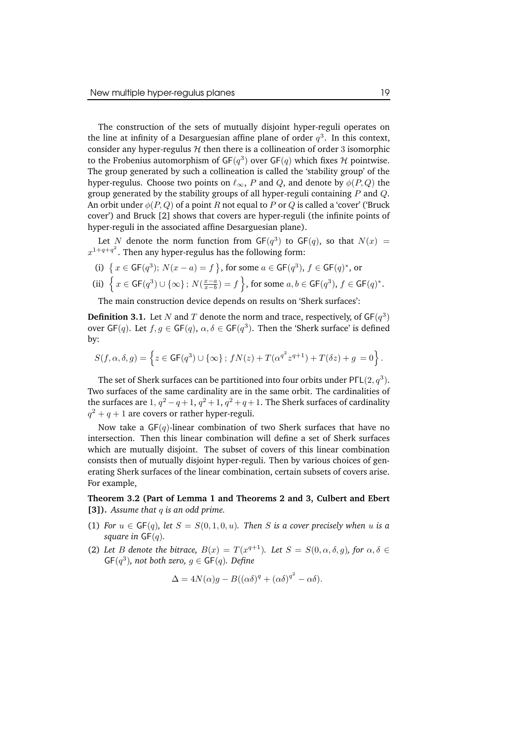The construction of the sets of mutually disjoint hyper-reguli operates on the line at infinity of a Desarguesian affine plane of order  $q^3$ . In this context, consider any hyper-regulus  $H$  then there is a collineation of order 3 isomorphic to the Frobenius automorphism of  $\mathsf{GF}(q^3)$  over  $\mathsf{GF}(q)$  which fixes  $\mathcal H$  pointwise. The group generated by such a collineation is called the 'stability group' of the hyper-regulus. Choose two points on  $\ell_{\infty}$ , P and Q, and denote by  $\phi(P, Q)$  the group generated by the stability groups of all hyper-reguli containing  $P$  and  $Q$ . An orbit under  $\phi(P, Q)$  of a point R not equal to P or Q is called a 'cover' ('Bruck cover') and Bruck [2] shows that covers are hyper-reguli (the infinite points of hyper-reguli in the associated affine Desarguesian plane).

Let N denote the norm function from  $GF(q^3)$  to  $GF(q)$ , so that  $N(x) =$  $x^{1+q+q^2}$ . Then any hyper-regulus has the following form:

(i) {  $x \in \text{GF}(q^3)$ ;  $N(x - a) = f$  }, for some  $a \in \text{GF}(q^3)$ ,  $f \in \text{GF}(q)^*$ , or

(ii) 
$$
\left\{ x \in \mathsf{GF}(q^3) \cup \{ \infty \} \colon N(\frac{x-a}{x-b}) = f \right\}
$$
, for some  $a, b \in \mathsf{GF}(q^3)$ ,  $f \in \mathsf{GF}(q)^*$ .

The main construction device depends on results on 'Sherk surfaces':

**Definition 3.1.** Let N and T denote the norm and trace, respectively, of  $GF(q^3)$ over  $\mathsf{GF}(q)$ . Let  $f, g \in \mathsf{GF}(q)$ ,  $\alpha, \delta \in \mathsf{GF}(q^3)$ . Then the 'Sherk surface' is defined by:

$$
S(f, \alpha, \delta, g) = \left\{z \in {\sf GF}(q^3) \cup \{\infty\}\, ; \, fN(z) + T(\alpha^{q^2}z^{q+1}) + T(\delta z) + g\, = 0\right\}.
$$

The set of Sherk surfaces can be partitioned into four orbits under PΓL $(2,q^3)$ . Two surfaces of the same cardinality are in the same orbit. The cardinalities of the surfaces are  $1, q^2 - q + 1, q^2 + 1, q^2 + q + 1$ . The Sherk surfaces of cardinality  $q^2 + q + 1$  are covers or rather hyper-reguli.

Now take a  $GF(q)$ -linear combination of two Sherk surfaces that have no intersection. Then this linear combination will define a set of Sherk surfaces which are mutually disjoint. The subset of covers of this linear combination consists then of mutually disjoint hyper-reguli. Then by various choices of generating Sherk surfaces of the linear combination, certain subsets of covers arise. For example,

**Theorem 3.2 (Part of Lemma 1 and Theorems 2 and 3, Culbert and Ebert [3]).** *Assume that* q *is an odd prime.*

- (1) *For*  $u \in GF(q)$ *, let*  $S = S(0, 1, 0, u)$ *. Then S is a cover precisely when u is a square in*  $GF(q)$ *.*
- (2) Let B denote the bitrace,  $B(x) = T(x^{q+1})$ . Let  $S = S(0, \alpha, \delta, g)$ , for  $\alpha, \delta \in$  $\mathsf{GF}(q^3)$ , not both zero,  $g \in \mathsf{GF}(q)$ . Define

$$
\Delta = 4N(\alpha)g - B((\alpha\delta)^q + (\alpha\delta)^{q^2} - \alpha\delta).
$$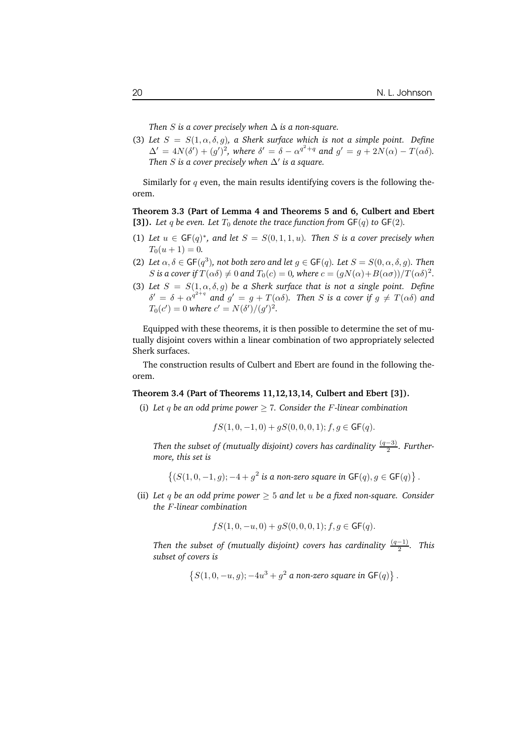*Then S* is a cover precisely when  $\Delta$  *is* a *non-square.* 

(3) Let  $S = S(1, \alpha, \delta, g)$ , *a* Sherk surface which is not *a* simple point. Define  $\Delta' = 4N(\delta') + (g')^2$ , where  $\delta' = \delta - \alpha^{q^2+q}$  and  $g' = g + 2N(\alpha) - T(\alpha\delta)$ . *Then*  $S$  *is a cover precisely when*  $\Delta'$  *is a square.* 

Similarly for  $q$  even, the main results identifying covers is the following theorem.

**Theorem 3.3 (Part of Lemma 4 and Theorems 5 and 6, Culbert and Ebert [3]).** *Let*  $q$  *be even. Let*  $T_0$  *denote the trace function from*  $GF(q)$  *to*  $GF(2)$ *.* 

- (1) Let  $u \in GF(q)^*$ , and let  $S = S(0, 1, 1, u)$ . Then S is a cover precisely when  $T_0(u+1) = 0.$
- (2) Let  $\alpha, \delta \in \mathsf{GF}(q^3)$ , not both zero and let  $g \in \mathsf{GF}(q)$ *. Let*  $S = S(0, \alpha, \delta, g)$ *. Then* S is a cover if  $T(\alpha \delta) \neq 0$  and  $T_0(c) = 0$ , where  $c = (gN(\alpha) + B(\alpha \sigma))/T(\alpha \delta)^2$ .
- (3) Let  $S = S(1, \alpha, \delta, g)$  be a Sherk surface that is not a single point. Define  $\delta' = \delta + \alpha^{q^{2+q}}$  and  $g' = g + T(\alpha \delta)$ . Then S is a cover if  $g \neq T(\alpha \delta)$  and  $T_0(c') = 0$  where  $c' = N(\delta')/(g')^2$ .

Equipped with these theorems, it is then possible to determine the set of mutually disjoint covers within a linear combination of two appropriately selected Sherk surfaces.

The construction results of Culbert and Ebert are found in the following theorem.

#### **Theorem 3.4 (Part of Theorems 11,12,13,14, Culbert and Ebert [3]).**

(i) Let q be an odd prime power  $\geq 7$ . Consider the F-linear combination

$$
fS(1,0,-1,0) + gS(0,0,0,1); f, g \in \mathsf{GF}(q).
$$

*Then the subset of (mutually disjoint) covers has cardinality* (q−3) 2 *. Furthermore, this set is*

$$
\{(S(1,0,-1,g);-4+g^2\text{ is a non-zero square in }\mathsf{GF}(q),g\in\mathsf{GF}(q)\}.
$$

(ii) *Let* q *be an odd prime power* ≥ 5 *and let* u *be a fixed non-square. Consider the* F*-linear combination*

$$
fS(1,0,-u,0) + gS(0,0,0,1); f, g \in \mathsf{GF}(q).
$$

*Then the subset of (mutually disjoint) covers has cardinality* (q−1) 2 *. This subset of covers is*

$$
\left\{S(1,0,-u,g); -4u^3+g^2 \hbox{ a non-zero square in } \hbox{GF}(q)\right\}.
$$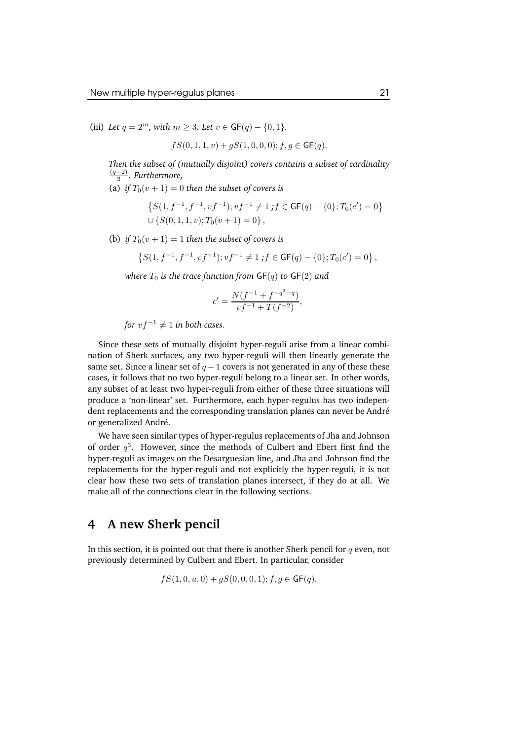(iii) *Let*  $q = 2^m$ *, with*  $m \ge 3$ *. Let*  $v \in GF(q) - \{0, 1\}$ *.* 

$$
fS(0,1,1,v) + gS(1,0,0,0); f, g \in \mathsf{GF}(q).
$$

*Then the subset of (mutually disjoint) covers contains a subset of cardinality* (q−2) 2 *. Furthermore,*

(a) *if*  $T_0(v + 1) = 0$  *then the subset of covers is* 

$$
\{S(1, f^{-1}, f^{-1}, vf^{-1}); vf^{-1} \neq 1; f \in GF(q) - \{0\}; T_0(c') = 0\}
$$
  

$$
\cup \{S(0, 1, 1, v); T_0(v + 1) = 0\},\
$$

(b) *if*  $T_0(v + 1) = 1$  *then the subset of covers is* 

$$
\left\{S(1, f^{-1}, f^{-1}, vf^{-1}); vf^{-1} \neq 1 \text{ ; } f \in \mathsf{GF}(q) - \{0\}; T_0(c') = 0\right\},
$$

*where*  $T_0$  *is the trace function from*  $GF(q)$  *to*  $GF(2)$  *and* 

$$
c' = \frac{N(f^{-1} + f^{-q^2 - q})}{vf^{-1} + T(f^{-2})},
$$

*for*  $vf^{-1} \neq 1$  *in both cases.* 

Since these sets of mutually disjoint hyper-reguli arise from a linear combination of Sherk surfaces, any two hyper-reguli will then linearly generate the same set. Since a linear set of  $q - 1$  covers is not generated in any of these these cases, it follows that no two hyper-reguli belong to a linear set. In other words, any subset of at least two hyper-reguli from either of these three situations will produce a 'non-linear' set. Furthermore, each hyper-regulus has two independent replacements and the corresponding translation planes can never be André or generalized André.

We have seen similar types of hyper-regulus replacements of Jha and Johnson of order  $q^3$ . However, since the methods of Culbert and Ebert first find the hyper-reguli as images on the Desarguesian line, and Jha and Johnson find the replacements for the hyper-reguli and not explicitly the hyper-reguli, it is not clear how these two sets of translation planes intersect, if they do at all. We make all of the connections clear in the following sections.

#### **4 A new Sherk pencil**

In this section, it is pointed out that there is another Sherk pencil for  $q$  even, not previously determined by Culbert and Ebert. In particular, consider

$$
fS(1,0,u,0) + gS(0,0,0,1); f, g \in \mathsf{GF}(q),
$$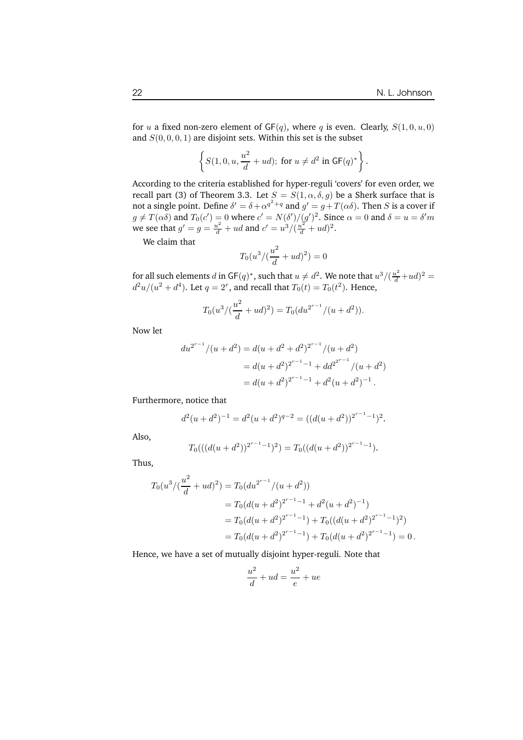for u a fixed non-zero element of  $GF(q)$ , where q is even. Clearly,  $S(1,0,u,0)$ and  $S(0, 0, 0, 1)$  are disjoint sets. Within this set is the subset

$$
\left\{S(1,0,u,\frac{u^2}{d}+ud);\text{ for }u\neq d^2\text{ in }\mathsf{GF}(q)^*\right\}.
$$

According to the criteria established for hyper-reguli 'covers' for even order, we recall part (3) of Theorem 3.3. Let  $S = S(1, \alpha, \delta, g)$  be a Sherk surface that is not a single point. Define  $\delta'=\delta+\alpha^{q^2+q}$  and  $g'=g+T(\alpha\delta).$  Then  $S$  is a cover if  $g \neq T(\alpha \delta)$  and  $T_0(c') = 0$  where  $c' = N(\delta') / (g')^2$ . Since  $\alpha = 0$  and  $\delta = u = \delta' m$ we see that  $g' = g = \frac{u^2}{d} + ud$  and  $c' = \frac{u^3}{\frac{d}{d} + ud^2}$ .

We claim that

$$
T_0(u^3/(\frac{u^2}{d} + ud)^2) = 0
$$

for all such elements d in GF(q)<sup>\*</sup>, such that  $u \neq d^2$ . We note that  $u^3/(\frac{u^2}{d}+ud)^2$  =  $d^2u/(u^2+d^4)$ . Let  $q=2^r$ , and recall that  $T_0(t)=T_0(t^2)$ . Hence,

$$
T_0(u^3/(\frac{u^2}{d} + ud)^2) = T_0(du^{2^{r-1}}/(u+d^2)).
$$

Now let

$$
du^{2^{r-1}}/(u+d^2) = d(u+d^2+d^2)^{2^{r-1}}/(u+d^2)
$$
  
=  $d(u+d^2)^{2^{r-1}-1} + dd^{2^{2^{r-1}}}/(u+d^2)$   
=  $d(u+d^2)^{2^{r-1}-1} + d^2(u+d^2)^{-1}$ .

Furthermore, notice that

$$
d^{2}(u+d^{2})^{-1} = d^{2}(u+d^{2})^{q-2} = ((d(u+d^{2}))^{2^{r-1}-1})^{2}.
$$

Also,

$$
T_0(((d(u+d^2))^{2^{r-1}-1})^2) = T_0((d(u+d^2))^{2^{r-1}-1}).
$$

Thus,

$$
T_0(u^3/(\frac{u^2}{d} + ud)^2) = T_0(du^{2^{r-1}}/(u + d^2))
$$
  
=  $T_0(d(u + d^2)^{2^{r-1}-1} + d^2(u + d^2)^{-1})$   
=  $T_0(d(u + d^2)^{2^{r-1}-1}) + T_0((d(u + d^2)^{2^{r-1}-1})^2)$   
=  $T_0(d(u + d^2)^{2^{r-1}-1}) + T_0(d(u + d^2)^{2^{r-1}-1}) = 0$ .

Hence, we have a set of mutually disjoint hyper-reguli. Note that

$$
\frac{u^2}{d} + ud = \frac{u^2}{e} + ue
$$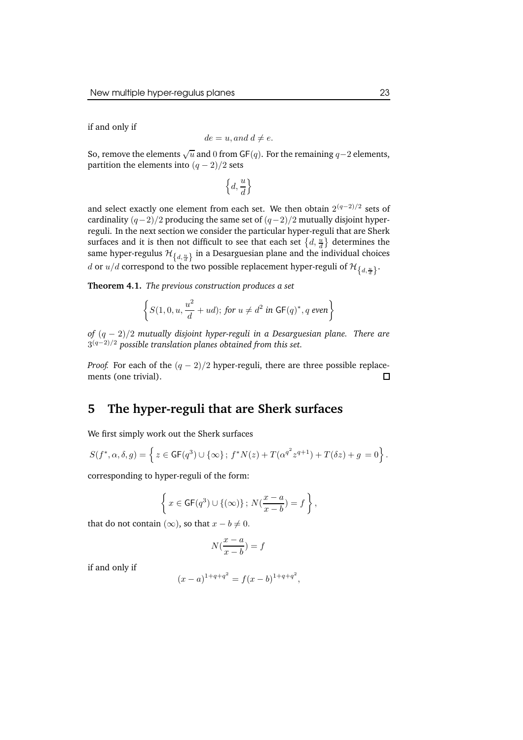if and only if

$$
de = u, and \ d \neq e.
$$

So, remove the elements  $\sqrt{u}$  and  $0$  from GF $(q)$ . For the remaining  $q-2$  elements, partition the elements into  $(q - 2)/2$  sets

$$
\left\{d, \frac{u}{d}\right\}
$$

and select exactly one element from each set. We then obtain  $2^{(q-2)/2}$  sets of cardinality  $(q-2)/2$  producing the same set of  $(q-2)/2$  mutually disjoint hyperreguli. In the next section we consider the particular hyper-reguli that are Sherk surfaces and it is then not difficult to see that each set  $\left\{d, \frac{u}{d}\right\}$  determines the same hyper-regulus  $\mathcal{H}_{\{d, \frac{u}{d}\}}$  in a Desarguesian plane and the individual choices  $d$  or  $u/d$  correspond to the two possible replacement hyper-reguli of  $\mathcal{H}_{\left\{d,\frac{u}{d}\right\}}.$ 

**Theorem 4.1.** *The previous construction produces a set*

$$
\left\{S(1,0,u,\frac{u^2}{d}+ud);\,\text{for}\,\,u\neq d^2\,\,\text{in}\,\,\mathsf{GF}(q)^*, q\,\,\text{even}\right\}
$$

*of* (q − 2)/2 *mutually disjoint hyper-reguli in a Desarguesian plane. There are* 3 (q−2)/<sup>2</sup> *possible translation planes obtained from this set.*

*Proof.* For each of the  $(q - 2)/2$  hyper-reguli, there are three possible replace-<br>ments (one trivial). ments (one trivial).

### **5 The hyper-reguli that are Sherk surfaces**

We first simply work out the Sherk surfaces

$$
S(f^*, \alpha, \delta, g) = \left\{ z \in {\sf GF}(q^3) \cup \{ \infty \};\, f^*N(z) + T(\alpha^{q^2} z^{q+1}) + T(\delta z) + g = 0 \right\}.
$$

corresponding to hyper-reguli of the form:

$$
\left\{ x \in {\sf GF}(q^3) \cup \{(\infty)\} \, ; \, N(\frac{x-a}{x-b}) = f \right\},
$$

that do not contain  $(\infty)$ , so that  $x - b \neq 0$ .

$$
N(\frac{x-a}{x-b}) = f
$$

if and only if

$$
(x-a)^{1+q+q^2} = f(x-b)^{1+q+q^2},
$$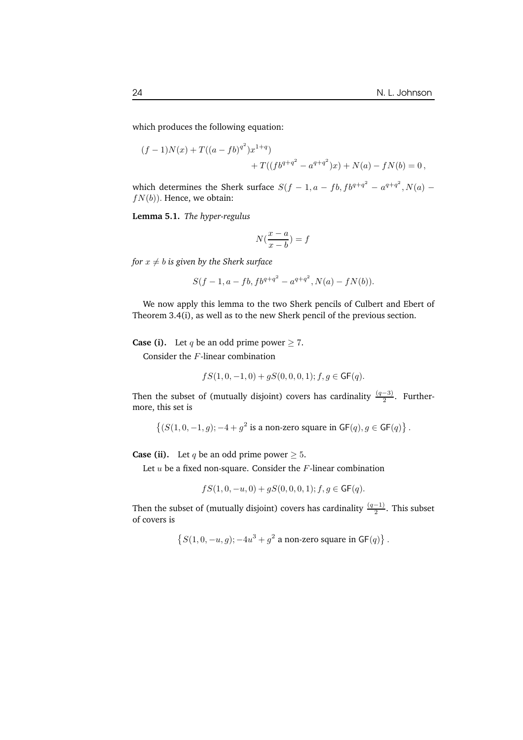which produces the following equation:

$$
(f-1)N(x) + T((a-fb)^{q^2})x^{1+q} + T((fb^{q+q^2} - a^{q+q^2})x) + N(a) - fN(b) = 0,
$$

which determines the Sherk surface  $S(f - 1, a - fb, fb^{q+q^2} - a^{q+q^2}, N(a)$  $f(N(b))$ . Hence, we obtain:

**Lemma 5.1.** *The hyper-regulus*

$$
N(\frac{x-a}{x-b}) = f
$$

*for*  $x \neq b$  *is given by the Sherk surface* 

$$
S(f-1, a-fb, fb^{q+q^2} - a^{q+q^2}, N(a) - fN(b)).
$$

We now apply this lemma to the two Sherk pencils of Culbert and Ebert of Theorem 3.4(i), as well as to the new Sherk pencil of the previous section.

**Case (i).** Let q be an odd prime power  $\geq 7$ .

Consider the F-linear combination

$$
fS(1,0,-1,0) + gS(0,0,0,1); f, g \in \mathsf{GF}(q).
$$

Then the subset of (mutually disjoint) covers has cardinality  $\frac{(q-3)}{2}$ . Furthermore, this set is

$$
\left\{(S(1,0,-1,g);-4+g^2\text{ is a non-zero square in }\mathsf{GF}(q),g\in \mathsf{GF}(q)\right\}.
$$

**Case (ii).** Let q be an odd prime power  $\geq 5$ .

Let  $u$  be a fixed non-square. Consider the  $F$ -linear combination

$$
fS(1,0,-u,0) + gS(0,0,0,1); f, g \in \mathsf{GF}(q).
$$

Then the subset of (mutually disjoint) covers has cardinality  $\frac{(q-1)}{2}$ . This subset of covers is

$$
\left\{S(1,0,-u,g); -4u^3+g^2 \text{ a non-zero square in }\mathsf{GF}(q)\right\}.
$$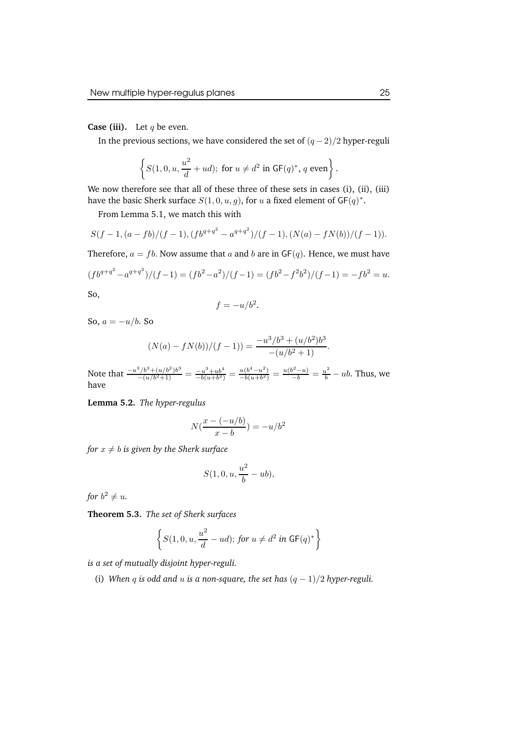**Case (iii).** Let  $q$  be even.

In the previous sections, we have considered the set of  $(q-2)/2$  hyper-reguli

$$
\left\{S(1,0,u,\frac{u^2}{d}+ud);\text{ for }u\neq d^2\text{ in }\mathsf{GF}(q)^*,\,q\text{ even}\right\}.
$$

We now therefore see that all of these three of these sets in cases (i), (ii), (iii) have the basic Sherk surface  $S(1,0,u,g)$ , for u a fixed element of GF $(q)^*$ .

From Lemma 5.1, we match this with

$$
S(f-1, (a-fb)/(f-1), (fb^{q+q^2} - a^{q+q^2})/(f-1), (N(a) - fN(b))/(f-1)).
$$

Therefore,  $a = fb$ . Now assume that a and b are in  $GF(q)$ . Hence, we must have

$$
(fb^{q+q^2} - a^{q+q^2})/(f-1) = (fb^2 - a^2)/(f-1) = (fb^2 - f^2b^2)/(f-1) = -fb^2 = u.
$$

So,

$$
f = -u/b^2.
$$

So,  $a = -u/b$ . So

$$
(N(a) - fN(b))/(f - 1)) = \frac{-u^3/b^3 + (u/b^2)b^3}{-(u/b^2 + 1)}.
$$

Note that  $\frac{-u^3/b^3 + (u/b^2)b^3}{-(u/b^2+1)} = \frac{-u^3+ub^4}{-b(u+b^2)}$  $\frac{-u^3+ub^4}{-b(u+b^2)} = \frac{u(b^4-u^2)}{-b(u+b^2)}$  $\frac{u(b^4 - u^2)}{-b(u+b^2)} = \frac{u(b^2 - u)}{-b} = \frac{u^2}{b} - ub$ . Thus, we have

**Lemma 5.2.** *The hyper-regulus*

$$
N(\frac{x-(-u/b)}{x-b}) = -u/b^2
$$

*for*  $x \neq b$  *is given by the Sherk surface* 

$$
S(1,0,u,\frac{u^2}{b}-ub),
$$

for  $b^2 \neq u$ .

**Theorem 5.3.** *The set of Sherk surfaces*

$$
\left\{S(1,0,u,\frac{u^2}{d}-ud); \text{ for } u \neq d^2 \text{ in } \mathsf{GF}(q)^*\right\}
$$

*is a set of mutually disjoint hyper-reguli.*

(i) *When* q *is* odd and u *is* a non-square, the set has  $(q - 1)/2$  hyper-reguli.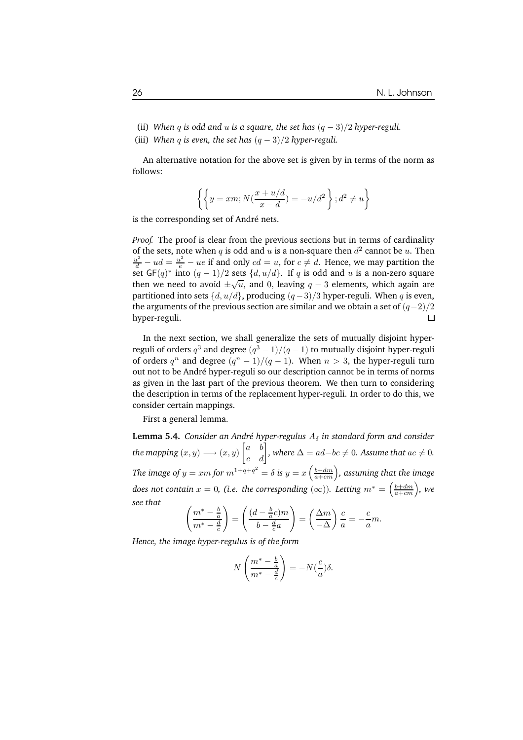- (ii) *When* q *is* odd and u *is* a square, the set has  $(q 3)/2$  hyper-reguli.
- (iii) *When* q *is* even, the set has  $(q 3)/2$  hyper-reguli.

An alternative notation for the above set is given by in terms of the norm as follows:

$$
\left\{\left\{y=xm;N(\frac{x+u/d}{x-d})=-u/d^2\right\};d^2\neq u\right\}
$$

is the corresponding set of André nets.

*Proof.* The proof is clear from the previous sections but in terms of cardinality of the sets, note when  $q$  is odd and  $u$  is a non-square then  $d^2$  cannot be  $u$ . Then  $\frac{u^2}{d} - ud = \frac{u^2}{e} - ue$  if and only  $cd = u$ , for  $c \neq d$ . Hence, we may partition the set  $GF(q)^*$  into  $(q-1)/2$  sets  $\{d, u/d\}$ . If q is odd and u is a non-zero square then we need to avoid  $\pm \sqrt{u}$ , and 0, leaving  $q - 3$  elements, which again are partitioned into sets  $\{d, u/d\}$ , producing  $(q-3)/3$  hyper-reguli. When q is even, the arguments of the previous section are similar and we obtain a set of  $(q-2)/2$ <br>hyper-reguli.  $□$ hyper-reguli.

In the next section, we shall generalize the sets of mutually disjoint hyperreguli of orders  $q^3$  and degree  $(q^3-1)/(q-1)$  to mutually disjoint hyper-reguli of orders  $q^n$  and degree  $(q^n - 1)/(q - 1)$ . When  $n > 3$ , the hyper-reguli turn out not to be André hyper-reguli so our description cannot be in terms of norms as given in the last part of the previous theorem. We then turn to considering the description in terms of the replacement hyper-reguli. In order to do this, we consider certain mappings.

First a general lemma.

**Lemma 5.4.** *Consider an André hyper-regulus*  $A_\delta$  *in standard form and consider the mapping*  $(x, y) \longrightarrow (x, y)$  $\begin{bmatrix} a & b \end{bmatrix}$ c d T *, where*  $\Delta = ad-bc \neq 0$ *. Assume that*  $ac \neq 0$ *.* The image of  $y = xm$  for  $m^{1+q+q^2} = \delta$  is  $y = x\left(\frac{b+dm}{a+cm}\right)$ , assuming that the image *does not contain*  $x = 0$ *, (i.e. the corresponding*  $(\infty)$ *). Letting*  $m^* = \left(\frac{b+dm}{a+cm}\right)$ *, we see that*

$$
\left(\frac{m^* - \frac{b}{a}}{m^* - \frac{d}{c}}\right) = \left(\frac{(d - \frac{b}{a}c)m}{b - \frac{d}{c}a}\right) = \left(\frac{\Delta m}{-\Delta}\right)\frac{c}{a} = -\frac{c}{a}m.
$$

*Hence, the image hyper-regulus is of the form*

$$
N\left(\frac{m^* - \frac{b}{a}}{m^* - \frac{d}{c}}\right) = -N(\frac{c}{a})\delta.
$$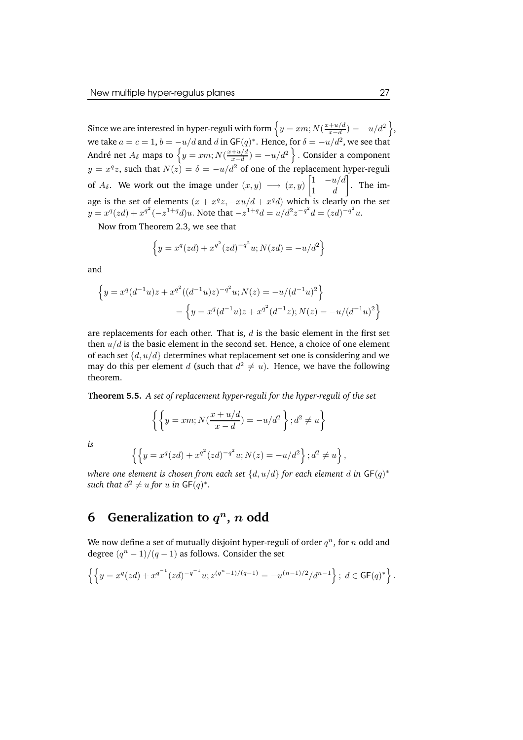Since we are interested in hyper-reguli with form  $\big\{y = xm; N(\frac{x+u/d}{x-d})\big\}$  $\frac{+u/d}{x-d}$ ) =  $-u/d^2$ }, we take  $a=c=1, b=-u/d$  and  $d$  in GF( $q$ ) $^*$ . Hence, for  $\delta=-u/d^2$ , we see that André net  $A_\delta$  maps to  $\big\{y = xm; N(\frac{x+u/d}{x-d})\big\}$  $\frac{+u/d}{x-d}$ ) =  $-u/d^2$  }. Consider a component  $y = x^q z$ , such that  $N(z) = \delta = -u/d^2$  of one of the replacement hyper-reguli of  $A_\delta$ . We work out the image under  $(x, y) \longrightarrow (x, y)$  $\begin{bmatrix} 1 & -u/d \end{bmatrix}$ 1 d 1 . The image is the set of elements  $(x + x^q z, -xu/d + x^q d)$  which is clearly on the set  $y = x^q (zd) + x^{q^2} (-z^{1+q} d)u$ . Note that  $-z^{1+q} d = u/d^2 z^{-q^2} d = (zd)^{-q^2} u$ .

Now from Theorem 2.3, we see that

$$
\left\{ y = x^q (zd) + x^{q^2} (zd)^{-q^2} u; N(zd) = -u/d^2 \right\}
$$

and

*is*

$$
\left\{ y = x^q (d^{-1}u) z + x^{q^2} ((d^{-1}u) z)^{-q^2} u; N(z) = -u/(d^{-1}u)^2 \right\}
$$
  
= 
$$
\left\{ y = x^q (d^{-1}u) z + x^{q^2} (d^{-1}z); N(z) = -u/(d^{-1}u)^2 \right\}
$$

are replacements for each other. That is,  $d$  is the basic element in the first set then  $u/d$  is the basic element in the second set. Hence, a choice of one element of each set  $\{d, u/d\}$  determines what replacement set one is considering and we may do this per element d (such that  $d^2 \neq u$ ). Hence, we have the following theorem.

**Theorem 5.5.** *A set of replacement hyper-reguli for the hyper-reguli of the set*

$$
\left\{ \left\{ y = xm; N\left(\frac{x+u/d}{x-d}\right) = -u/d^2 \right\}; d^2 \neq u \right\}
$$
  

$$
\left\{ \left\{ y = x^q (zd) + x^{q^2} (zd)^{-q^2} u; N(z) = -u/d^2 \right\}; d^2 \neq u \right\}
$$

*where one element is chosen from each set*  $\{d, u/d\}$  *for each element*  $d$  *in*  $\mathsf{GF}(q)^*$ such that  $d^2 \neq u$  for  $u$  in  $\mathsf{GF}(q)^*$ .

,

## **6 Generalization to**  $q^n$ , n **odd**

We now define a set of mutually disjoint hyper-reguli of order  $q^n$ , for  $n$  odd and degree  $(q^n - 1)/(q - 1)$  as follows. Consider the set

$$
\left\{ \left\{ y = x^q (zd) + x^{q^{-1}} (zd)^{-q^{-1}} u; z^{(q^n-1)/(q-1)} = -u^{(n-1)/2}/d^{n-1} \right\};\ d \in {\sf GF}(q)^* \right\}.
$$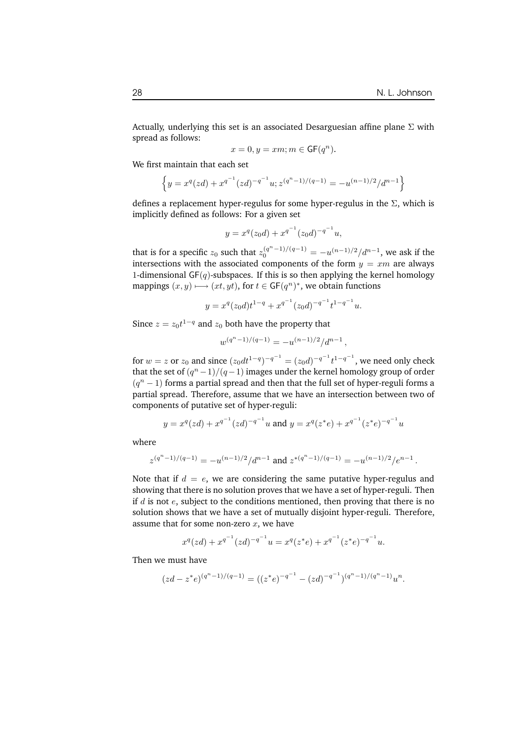Actually, underlying this set is an associated Desarguesian affine plane  $\Sigma$  with spread as follows:

$$
x = 0, y = xm; m \in {\mathsf{GF}}(q^n).
$$

We first maintain that each set

$$
\left\{ y = x^q (zd) + x^{q^{-1}} (zd)^{-q^{-1}} u; z^{(q^n - 1)/(q - 1)} = -u^{(n-1)/2}/d^{n-1} \right\}
$$

defines a replacement hyper-regulus for some hyper-regulus in the  $\Sigma$ , which is implicitly defined as follows: For a given set

$$
y = x^q(z_0d) + x^{q^{-1}}(z_0d)^{-q^{-1}}u,
$$

that is for a specific  $z_0$  such that  $z_0^{(q^n-1)/(q-1)} = -u^{(n-1)/2}/d^{n-1}$ , we ask if the intersections with the associated components of the form  $y = xm$  are always 1-dimensional  $GF(q)$ -subspaces. If this is so then applying the kernel homology mappings  $(x, y) \longmapsto (xt, yt)$ , for  $t \in {\sf GF}(q^n)^*$ , we obtain functions

$$
y = x^q (z_0 d) t^{1-q} + x^{q^{-1}} (z_0 d)^{-q^{-1}} t^{1-q^{-1}} u.
$$

Since  $z = z_0 t^{1-q}$  and  $z_0$  both have the property that

$$
w^{(q^n-1)/(q-1)} = -u^{(n-1)/2}/d^{n-1},
$$

for  $w = z$  or  $z_0$  and since  $(z_0 dt^{1-q})^{-q^{-1}} = (z_0 d)^{-q^{-1}} t^{1-q^{-1}}$ , we need only check that the set of  $(q^n-1)/(q-1)$  images under the kernel homology group of order  $(q^{n}-1)$  forms a partial spread and then that the full set of hyper-reguli forms a partial spread. Therefore, assume that we have an intersection between two of components of putative set of hyper-reguli:

$$
y = x^q (zd) + x^{q^{-1}} (zd)^{-q^{-1}} u
$$
 and  $y = x^q (z^*e) + x^{q^{-1}} (z^*e)^{-q^{-1}} u$ 

where

$$
z^{(q^n-1)/(q-1)} = -u^{(n-1)/2}/d^{n-1} \text{ and } z^{*(q^n-1)/(q-1)} = -u^{(n-1)/2}/e^{n-1}.
$$

Note that if  $d = e$ , we are considering the same putative hyper-regulus and showing that there is no solution proves that we have a set of hyper-reguli. Then if  $d$  is not  $e$ , subject to the conditions mentioned, then proving that there is no solution shows that we have a set of mutually disjoint hyper-reguli. Therefore, assume that for some non-zero  $x$ , we have

$$
x^{q}(zd) + x^{q^{-1}}(zd)^{-q^{-1}}u = x^{q}(z^{*}e) + x^{q^{-1}}(z^{*}e)^{-q^{-1}}u.
$$

Then we must have

$$
(zd-z^*e)^{(q^n-1)/(q-1)} = ((z^*e)^{-q^{-1}} - (zd)^{-q^{-1}})^{(q^n-1)/(q^n-1)}u^n.
$$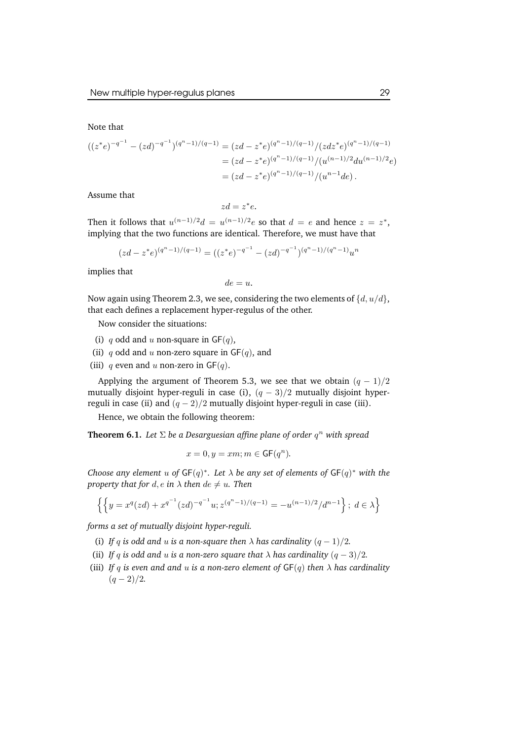Note that

$$
((z^*e)^{-q^{-1}} - (zd)^{-q^{-1}})^{(q^n - 1)/(q - 1)} = (zd - z^*e)^{(q^n - 1)/(q - 1)}/(zdz^*e)^{(q^n - 1)/(q - 1)}
$$
  
=  $(zd - z^*e)^{(q^n - 1)/(q - 1)}/(u^{(n - 1)/2}du^{(n - 1)/2}e)$   
=  $(zd - z^*e)^{(q^n - 1)/(q - 1)}/(u^{n-1}de)$ .

Assume that

$$
z d = z^* e.
$$

Then it follows that  $u^{(n-1)/2}d = u^{(n-1)/2}e$  so that  $d = e$  and hence  $z = z^*$ , implying that the two functions are identical. Therefore, we must have that

$$
(zd - z^*e)^{(q^n - 1)/(q-1)} = ((z^*e)^{-q^{-1}} - (zd)^{-q^{-1}})^{(q^n - 1)/(q^n - 1)}u^n
$$

implies that

$$
de=u.
$$

Now again using Theorem 2.3, we see, considering the two elements of  $\{d, u/d\}$ , that each defines a replacement hyper-regulus of the other.

Now consider the situations:

- (i) q odd and u non-square in  $GF(q)$ ,
- (ii) q odd and u non-zero square in  $GF(q)$ , and
- (iii) q even and u non-zero in  $GF(q)$ .

Applying the argument of Theorem 5.3, we see that we obtain  $(q - 1)/2$ mutually disjoint hyper-reguli in case (i),  $(q - 3)/2$  mutually disjoint hyperreguli in case (ii) and  $(q - 2)/2$  mutually disjoint hyper-reguli in case (iii).

Hence, we obtain the following theorem:

**Theorem 6.1.** *Let* Σ *be a Desarguesian affine plane of order* q <sup>n</sup> *with spread*

$$
x=0, y=xm; m\in {\sf GF}(q^n).
$$

*Choose any element*  $u$  *of*  $\mathsf{GF}(q)^*$ *. Let*  $\lambda$  *be any set of elements of*  $\mathsf{GF}(q)^*$  *with the property that for*  $d$ *,*  $e$  *in*  $\lambda$  *then*  $de \neq u$ *. Then* 

$$
\left\{ \left\{ y = x^q (zd) + x^{q^{-1}} (zd)^{-q^{-1}} u; z^{(q^n-1)/(q-1)} = -u^{(n-1)/2}/d^{n-1} \right\};\ d\in \lambda \right\}
$$

*forms a set of mutually disjoint hyper-reguli.*

- (i) If q is odd and u is a non-square then  $\lambda$  has cardinality  $(q-1)/2$ .
- (ii) *If* q *is odd* and u *is* a non-zero *square that*  $\lambda$  *has cardinality*  $(q 3)/2$ *.*
- (iii) *If* q *is even* and and u *is* a non-zero *element* of  $GF(q)$  *then*  $\lambda$  *has cardinality*  $(q-2)/2.$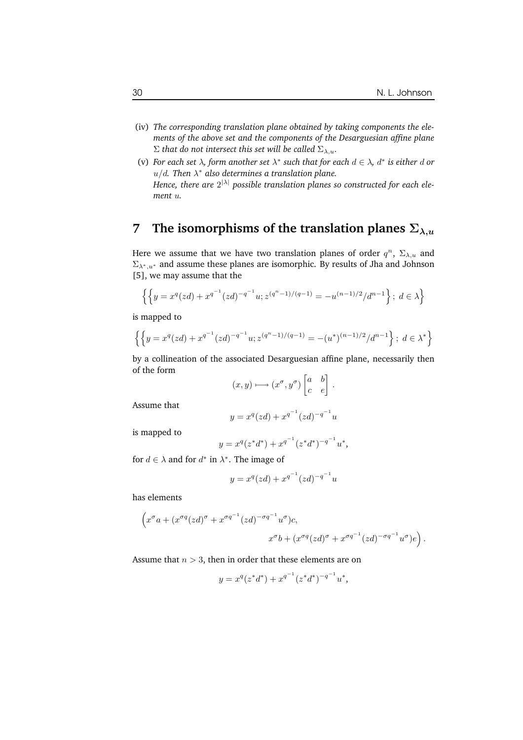- (iv) *The corresponding translation plane obtained by taking components the elements of the above set and the components of the Desarguesian affine plane*  $\Sigma$  *that do not intersect this set will be called*  $\Sigma_{\lambda,u}$ *.*
- (v) For each set  $\lambda$ , form another set  $\lambda^*$  such that for each  $d \in \lambda$ ,  $d^*$  is either d or u/d*. Then* λ ∗ *also determines a translation plane. Hence, there are* 2 <sup>|</sup>λ<sup>|</sup> *possible translation planes so constructed for each element* u*.*

# **7 The isomorphisms** of the **translation** planes  $\Sigma_{\lambda,u}$

Here we assume that we have two translation planes of order  $q^n$ ,  $\Sigma_{\lambda,u}$  and  $\Sigma_{\lambda^*,u^*}$  and assume these planes are isomorphic. By results of Jha and Johnson [5], we may assume that the

$$
\left\{ \left\{ y = x^q (zd) + x^{q^{-1}} (zd)^{-q^{-1}} u; z^{(q^n-1)/(q-1)} = -u^{(n-1)/2}/d^{n-1} \right\};\ d\in \lambda \right\}
$$

is mapped to

$$
\left\{ \left\{ y = x^q (zd) + x^{q^{-1}} (zd)^{-q^{-1}} u; z^{(q^n - 1)/(q - 1)} = -(u^*)^{(n-1)/2} / d^{n-1} \right\}; d \in \lambda^* \right\}
$$

by a collineation of the associated Desarguesian affine plane, necessarily then of the form

$$
(x,y)\longmapsto (x^{\sigma},y^{\sigma})\begin{bmatrix} a & b \\ c & e \end{bmatrix}.
$$

Assume that

$$
y = x^q (zd) + x^{q^{-1}} (zd)^{-q^{-1}} u
$$

is mapped to

$$
y = x^q (z^* d^*) + x^{q^{-1}} (z^* d^*)^{-q^{-1}} u^*,
$$

for  $d \in \lambda$  and for  $d^*$  in  $\lambda^*$ . The image of

$$
y = x^q (zd) + x^{q^{-1}} (zd)^{-q^{-1}} u
$$

has elements

$$
\left(x^{\sigma}a + (x^{\sigma q}(zd)^{\sigma} + x^{\sigma q^{-1}}(zd)^{-\sigma q^{-1}}u^{\sigma})c, x^{\sigma}b + (x^{\sigma q}(zd)^{\sigma} + x^{\sigma q^{-1}}(zd)^{-\sigma q^{-1}}u^{\sigma})e\right).
$$

Assume that  $n > 3$ , then in order that these elements are on

$$
y = x^q (z^* d^*) + x^{q^{-1}} (z^* d^*)^{-q^{-1}} u^*,
$$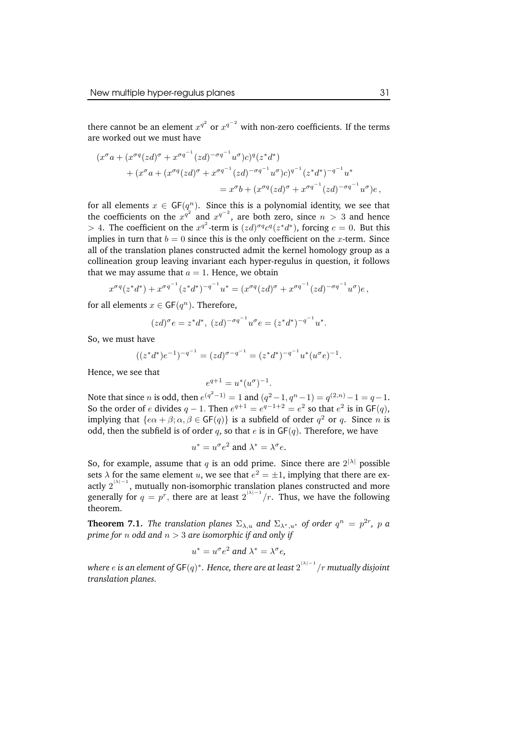there cannot be an element  $x^{q^2}$  or  $x^{q^{-2}}$  with non-zero coefficients. If the terms are worked out we must have

$$
(x^{\sigma}a + (x^{\sigma q}(zd)^{\sigma} + x^{\sigma q^{-1}}(zd)^{-\sigma q^{-1}}u^{\sigma})c)^{q}(z^*d^*)
$$
  
+ 
$$
(x^{\sigma}a + (x^{\sigma q}(zd)^{\sigma} + x^{\sigma q^{-1}}(zd)^{-\sigma q^{-1}}u^{\sigma})c)^{q^{-1}}(z^*d^*)^{-q^{-1}}u^*
$$
  
= 
$$
x^{\sigma}b + (x^{\sigma q}(zd)^{\sigma} + x^{\sigma q^{-1}}(zd)^{-\sigma q^{-1}}u^{\sigma})e,
$$

for all elements  $x \in GF(q^n)$ . Since this is a polynomial identity, we see that the coefficients on the  $x^{q^2}$  and  $x^{q^{-2}}$ , are both zero, since  $n > 3$  and hence > 4. The coefficient on the  $x^{q^2}$ -term is  $(zd)^{\sigma q} c^q (z^*d^*)$ , forcing  $c = 0$ . But this implies in turn that  $b = 0$  since this is the only coefficient on the x-term. Since all of the translation planes constructed admit the kernel homology group as a collineation group leaving invariant each hyper-regulus in question, it follows that we may assume that  $a = 1$ . Hence, we obtain

$$
x^{\sigma q}(z^*d^*) + x^{\sigma q^{-1}}(z^*d^*)^{-q^{-1}}u^* = (x^{\sigma q}(zd)^{\sigma} + x^{\sigma q^{-1}}(zd)^{-\sigma q^{-1}}u^{\sigma})e,
$$

for all elements  $x \in {\sf GF}(q^n)$ . Therefore,

$$
(zd)^{\sigma} e = z^* d^*, \ (zd)^{-\sigma q^{-1}} u^{\sigma} e = (z^* d^*)^{-q^{-1}} u^*.
$$

So, we must have

$$
((z^*d^*)e^{-1})^{-q^{-1}} = (zd)^{\sigma - q^{-1}} = (z^*d^*)^{-q^{-1}}u^*(u^{\sigma}e)^{-1}.
$$

 $\rho^q$ 

Hence, we see that

$$
^{q+1} = u^*(u^{\sigma})^{-1}.
$$

Note that since *n* is odd, then  $e^{(q^2-1)} = 1$  and  $(q^2-1, q^n-1) = q^{(2,n)} - 1 = q - 1$ . So the order of e divides  $q - 1$ . Then  $e^{q+1} = e^{q-1+2} = e^2$  so that  $e^2$  is in  $GF(q)$ , implying that  $\{e\alpha + \beta; \alpha, \beta \in \mathsf{GF}(q)\}\)$  is a subfield of order  $q^2$  or  $q$ . Since  $n$  is odd, then the subfield is of order q, so that  $e$  is in  $GF(q)$ . Therefore, we have

$$
u^* = u^{\sigma} e^2
$$
 and  $\lambda^* = \lambda^{\sigma} e$ .

So, for example, assume that  $q$  is an odd prime. Since there are  $2^{|\lambda|}$  possible sets  $\lambda$  for the same element u, we see that  $e^2 = \pm 1$ , implying that there are exactly  $2^{|\lambda| - 1}$ , mutually non-isomorphic translation planes constructed and more generally for  $q = p^r$ , there are at least  $2^{|\lambda|-1}/r$ . Thus, we have the following theorem.

**Theorem 7.1.** *The translation planes*  $\Sigma_{\lambda,u}$  *and*  $\Sigma_{\lambda^*,u^*}$  *of order*  $q^n = p^{2r}$ , *p a prime* for *n* odd and  $n > 3$  are *isomorphic if* and only *if* 

$$
u^* = u^{\sigma} e^2 \text{ and } \lambda^* = \lambda^{\sigma} e,
$$

*where* e *is an element of* GF(q) ∗ *. Hence, there are at least* 2 |λ|−1 /r *mutually disjoint translation planes.*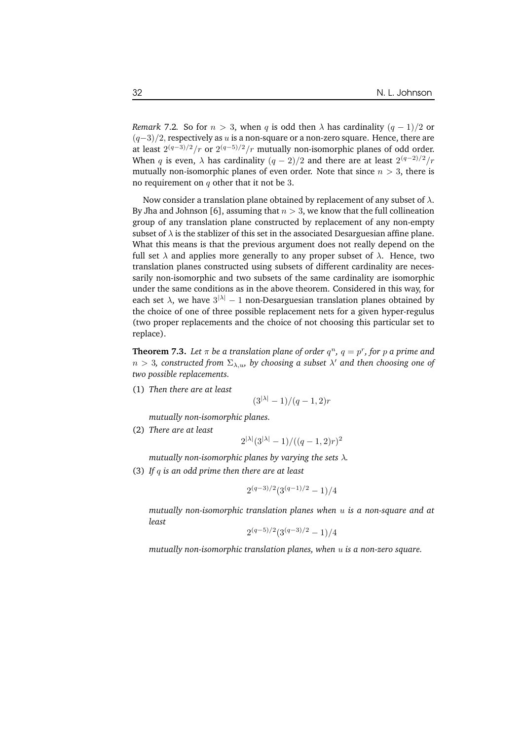*Remark* 7.2*.* So for  $n > 3$ , when q is odd then  $\lambda$  has cardinality  $(q - 1)/2$  or  $(q-3)/2$ , respectively as u is a non-square or a non-zero square. Hence, there are at least  $2^{(q-3)/2}/r$  or  $2^{(q-5)/2}/r$  mutually non-isomorphic planes of odd order. When q is even,  $\lambda$  has cardinality  $(q-2)/2$  and there are at least  $2^{(q-2)/2}/r$ mutually non-isomorphic planes of even order. Note that since  $n > 3$ , there is no requirement on  $q$  other that it not be 3.

Now consider a translation plane obtained by replacement of any subset of  $\lambda$ . By Jha and Johnson [6], assuming that  $n > 3$ , we know that the full collineation group of any translation plane constructed by replacement of any non-empty subset of  $\lambda$  is the stablizer of this set in the associated Desarguesian affine plane. What this means is that the previous argument does not really depend on the full set  $\lambda$  and applies more generally to any proper subset of  $\lambda$ . Hence, two translation planes constructed using subsets of different cardinality are necessarily non-isomorphic and two subsets of the same cardinality are isomorphic under the same conditions as in the above theorem. Considered in this way, for each set  $\lambda$ , we have  $3^{|\lambda|} - 1$  non-Desarguesian translation planes obtained by the choice of one of three possible replacement nets for a given hyper-regulus (two proper replacements and the choice of not choosing this particular set to replace).

**Theorem 7.3.** Let  $\pi$  be a translation plane of order  $q^n$ ,  $q = p^r$ , for  $p$  a prime and  $n > 3$ , constructed from  $\Sigma_{\lambda,u}$ , by choosing a subset  $\lambda'$  and then choosing one of *two possible replacements.*

(1) *Then there are at least*

$$
(3^{|\lambda|}-1)/(q-1,2)r
$$

*mutually non-isomorphic planes.*

(2) *There are at least*

$$
2^{|\lambda|}(3^{|\lambda|} - 1) / ((q - 1, 2)r)^2
$$

*mutually non-isomorphic planes by varying the sets* λ*.*

(3) *If* q *is an odd prime then there are at least*

$$
2^{(q-3)/2}(3^{(q-1)/2}-1)/4
$$

*mutually non-isomorphic translation planes when* u *is a non-square and at least*

$$
2^{(q-5)/2}(3^{(q-3)/2}-1)/4
$$

*mutually non-isomorphic translation planes, when* u *is a non-zero square.*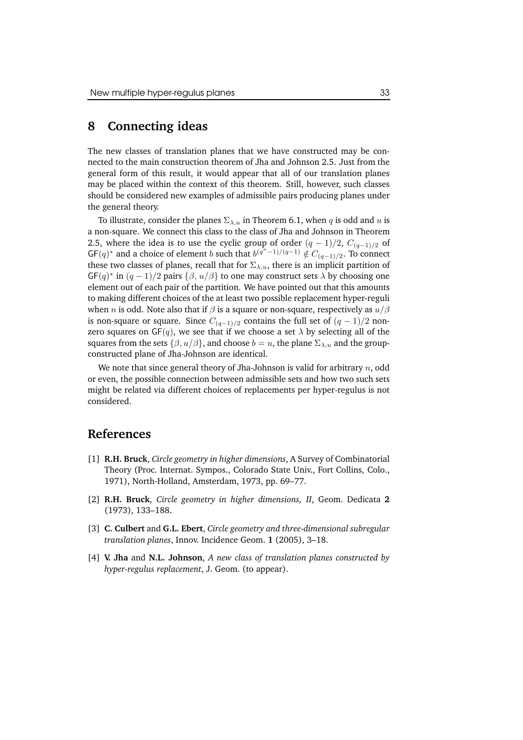#### **8 Connecting ideas**

The new classes of translation planes that we have constructed may be connected to the main construction theorem of Jha and Johnson 2.5. Just from the general form of this result, it would appear that all of our translation planes may be placed within the context of this theorem. Still, however, such classes should be considered new examples of admissible pairs producing planes under the general theory.

To illustrate, consider the planes  $\Sigma_{\lambda,u}$  in Theorem 6.1, when q is odd and u is a non-square. We connect this class to the class of Jha and Johnson in Theorem 2.5, where the idea is to use the cyclic group of order  $(q - 1)/2$ ,  $C_{(q-1)/2}$  of  $GF(q)^*$  and a choice of element b such that  $b^{(q^n-1)/(q-1)} \notin C_{(q-1)/2}$ . To connect these two classes of planes, recall that for  $\Sigma_{\lambda,u}$ , there is an implicit partition of  $\mathsf{GF}(q)^*$  in  $(q-1)/2$  pairs  $\{\beta, u/\beta\}$  to one may construct sets  $\lambda$  by choosing one element out of each pair of the partition. We have pointed out that this amounts to making different choices of the at least two possible replacement hyper-reguli when *n* is odd. Note also that if  $\beta$  is a square or non-square, respectively as  $u/\beta$ is non-square or square. Since  $C_{(q-1)/2}$  contains the full set of  $(q-1)/2$  nonzero squares on  $GF(q)$ , we see that if we choose a set  $\lambda$  by selecting all of the squares from the sets  $\{\beta, u/\beta\}$ , and choose  $b = u$ , the plane  $\Sigma_{\lambda, u}$  and the groupconstructed plane of Jha-Johnson are identical.

We note that since general theory of Jha-Johnson is valid for arbitrary  $n$ , odd or even, the possible connection between admissible sets and how two such sets might be related via different choices of replacements per hyper-regulus is not considered.

#### **References**

- [1] **R.H. Bruck**, *Circle geometry in higher dimensions*, A Survey of Combinatorial Theory (Proc. Internat. Sympos., Colorado State Univ., Fort Collins, Colo., 1971), North-Holland, Amsterdam, 1973, pp. 69–77.
- [2] **R.H. Bruck**, *Circle geometry in higher dimensions, II*, Geom. Dedicata **2** (1973), 133–188.
- [3] **C. Culbert** and **G.L. Ebert**, *Circle geometry and three-dimensional subregular translation planes*, Innov. Incidence Geom. **1** (2005), 3–18.
- [4] **V. Jha** and **N.L. Johnson**, *A new class of translation planes constructed by hyper-regulus replacement*, J. Geom. (to appear).